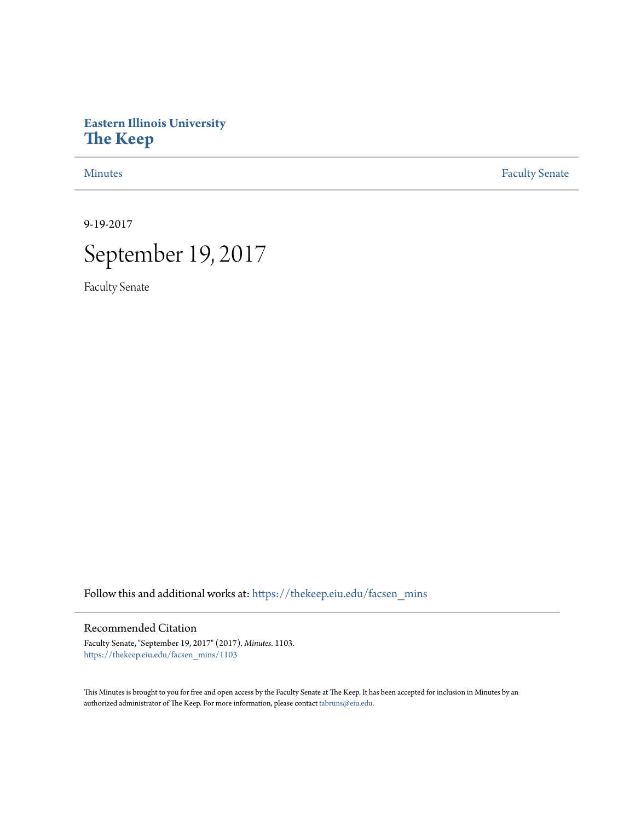# **Eastern Illinois University [The Keep](https://thekeep.eiu.edu?utm_source=thekeep.eiu.edu%2Ffacsen_mins%2F1103&utm_medium=PDF&utm_campaign=PDFCoverPages)**

[Minutes](https://thekeep.eiu.edu/facsen_mins?utm_source=thekeep.eiu.edu%2Ffacsen_mins%2F1103&utm_medium=PDF&utm_campaign=PDFCoverPages) **[Faculty Senate](https://thekeep.eiu.edu/fac_senate?utm_source=thekeep.eiu.edu%2Ffacsen_mins%2F1103&utm_medium=PDF&utm_campaign=PDFCoverPages)** 

9-19-2017



Faculty Senate

Follow this and additional works at: [https://thekeep.eiu.edu/facsen\\_mins](https://thekeep.eiu.edu/facsen_mins?utm_source=thekeep.eiu.edu%2Ffacsen_mins%2F1103&utm_medium=PDF&utm_campaign=PDFCoverPages)

# Recommended Citation

Faculty Senate, "September 19, 2017" (2017). *Minutes*. 1103. [https://thekeep.eiu.edu/facsen\\_mins/1103](https://thekeep.eiu.edu/facsen_mins/1103?utm_source=thekeep.eiu.edu%2Ffacsen_mins%2F1103&utm_medium=PDF&utm_campaign=PDFCoverPages)

This Minutes is brought to you for free and open access by the Faculty Senate at The Keep. It has been accepted for inclusion in Minutes by an authorized administrator of The Keep. For more information, please contact [tabruns@eiu.edu](mailto:tabruns@eiu.edu).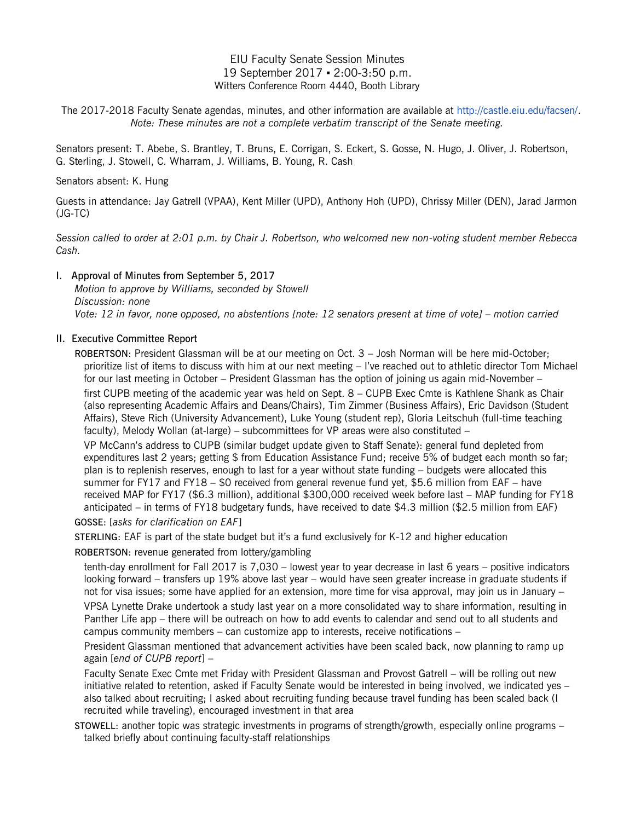# EIU Faculty Senate Session Minutes 19 September 2017 ▪ 2:00-3:50 p.m. Witters Conference Room 4440, Booth Library

The 2017-2018 Faculty Senate agendas, minutes, and other information are available at [http://castle.eiu.edu/facsen/.](http://castle.eiu.edu/facsen/) *Note: These minutes are not a complete verbatim transcript of the Senate meeting.*

Senators present: T. Abebe, S. Brantley, T. Bruns, E. Corrigan, S. Eckert, S. Gosse, N. Hugo, J. Oliver, J. Robertson, G. Sterling, J. Stowell, C. Wharram, J. Williams, B. Young, R. Cash

#### Senators absent: K. Hung

Guests in attendance: Jay Gatrell (VPAA), Kent Miller (UPD), Anthony Hoh (UPD), Chrissy Miller (DEN), Jarad Jarmon (JG-TC)

*Session called to order at 2:01 p.m. by Chair J. Robertson, who welcomed new non-voting student member Rebecca Cash.*

### I. Approval of Minutes from September 5, 2017

*Motion to approve by Williams, seconded by Stowell Discussion: none Vote: 12 in favor, none opposed, no abstentions [note: 12 senators present at time of vote] – motion carried*

#### II. Executive Committee Report

ROBERTSON: President Glassman will be at our meeting on Oct. 3 – Josh Norman will be here mid-October; prioritize list of items to discuss with him at our next meeting – I've reached out to athletic director Tom Michael for our last meeting in October – President Glassman has the option of joining us again mid-November –

first CUPB meeting of the academic year was held on Sept. 8 – CUPB Exec Cmte is Kathlene Shank as Chair (also representing Academic Affairs and Deans/Chairs), Tim Zimmer (Business Affairs), Eric Davidson (Student Affairs), Steve Rich (University Advancement), Luke Young (student rep), Gloria Leitschuh (full-time teaching faculty), Melody Wollan (at-large) – subcommittees for VP areas were also constituted –

VP McCann's address to CUPB (similar budget update given to Staff Senate): general fund depleted from expenditures last 2 years; getting \$ from Education Assistance Fund; receive 5% of budget each month so far; plan is to replenish reserves, enough to last for a year without state funding – budgets were allocated this summer for FY17 and FY18 – \$0 received from general revenue fund yet, \$5.6 million from EAF – have received MAP for FY17 (\$6.3 million), additional \$300,000 received week before last – MAP funding for FY18 anticipated – in terms of FY18 budgetary funds, have received to date \$4.3 million (\$2.5 million from EAF) GOSSE: [*asks for clarification on EAF*]

STERLING: EAF is part of the state budget but it's a fund exclusively for K-12 and higher education

ROBERTSON: revenue generated from lottery/gambling

tenth-day enrollment for Fall 2017 is 7,030 – lowest year to year decrease in last 6 years – positive indicators looking forward – transfers up 19% above last year – would have seen greater increase in graduate students if not for visa issues; some have applied for an extension, more time for visa approval, may join us in January – VPSA Lynette Drake undertook a study last year on a more consolidated way to share information, resulting in

Panther Life app – there will be outreach on how to add events to calendar and send out to all students and campus community members – can customize app to interests, receive notifications –

President Glassman mentioned that advancement activities have been scaled back, now planning to ramp up again [*end of CUPB report*] –

Faculty Senate Exec Cmte met Friday with President Glassman and Provost Gatrell – will be rolling out new initiative related to retention, asked if Faculty Senate would be interested in being involved, we indicated yes – also talked about recruiting; I asked about recruiting funding because travel funding has been scaled back (I recruited while traveling), encouraged investment in that area

STOWELL: another topic was strategic investments in programs of strength/growth, especially online programs – talked briefly about continuing faculty-staff relationships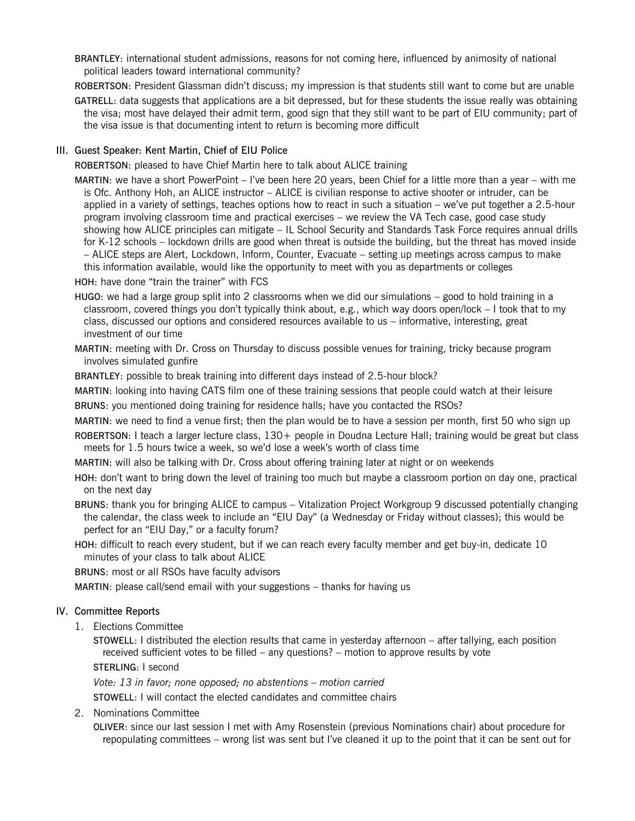- BRANTLEY: international student admissions, reasons for not coming here, influenced by animosity of national political leaders toward international community?
- ROBERTSON: President Glassman didn't discuss; my impression is that students still want to come but are unable
- GATRELL: data suggests that applications are a bit depressed, but for these students the issue really was obtaining the visa; most have delayed their admit term, good sign that they still want to be part of EIU community; part of the visa issue is that documenting intent to return is becoming more difficult

# III. Guest Speaker: Kent Martin, Chief of EIU Police

ROBERTSON: pleased to have Chief Martin here to talk about ALICE training

MARTIN: we have a short PowerPoint – I've been here 20 years, been Chief for a little more than a year – with me is Ofc. Anthony Hoh, an ALICE instructor – ALICE is civilian response to active shooter or intruder, can be applied in a variety of settings, teaches options how to react in such a situation – we've put together a 2.5-hour program involving classroom time and practical exercises – we review the VA Tech case, good case study showing how ALICE principles can mitigate – IL School Security and Standards Task Force requires annual drills for K-12 schools – lockdown drills are good when threat is outside the building, but the threat has moved inside – ALICE steps are Alert, Lockdown, Inform, Counter, Evacuate – setting up meetings across campus to make this information available, would like the opportunity to meet with you as departments or colleges

HOH: have done "train the trainer" with FCS

- HUGO: we had a large group split into 2 classrooms when we did our simulations good to hold training in a classroom, covered things you don't typically think about, e.g., which way doors open/lock – I took that to my class, discussed our options and considered resources available to us – informative, interesting, great investment of our time
- MARTIN: meeting with Dr. Cross on Thursday to discuss possible venues for training, tricky because program involves simulated gunfire

BRANTLEY: possible to break training into different days instead of 2.5-hour block?

MARTIN: looking into having CATS film one of these training sessions that people could watch at their leisure BRUNS: you mentioned doing training for residence halls; have you contacted the RSOs?

MARTIN: we need to find a venue first; then the plan would be to have a session per month, first 50 who sign up

- ROBERTSON: I teach a larger lecture class, 130+ people in Doudna Lecture Hall; training would be great but class meets for 1.5 hours twice a week, so we'd lose a week's worth of class time
- MARTIN: will also be talking with Dr. Cross about offering training later at night or on weekends
- HOH: don't want to bring down the level of training too much but maybe a classroom portion on day one, practical on the next day
- BRUNS: thank you for bringing ALICE to campus Vitalization Project Workgroup 9 discussed potentially changing the calendar, the class week to include an "EIU Day" (a Wednesday or Friday without classes); this would be perfect for an "EIU Day," or a faculty forum?
- HOH: difficult to reach every student, but if we can reach every faculty member and get buy-in, dedicate 10 minutes of your class to talk about ALICE

BRUNS: most or all RSOs have faculty advisors

MARTIN: please call/send email with your suggestions – thanks for having us

#### IV. Committee Reports

1. Elections Committee

STOWELL: I distributed the election results that came in yesterday afternoon – after tallying, each position received sufficient votes to be filled – any questions? – motion to approve results by vote

STERLING: I second

*Vote: 13 in favor; none opposed; no abstentions – motion carried* 

STOWELL: I will contact the elected candidates and committee chairs

2. Nominations Committee

OLIVER: since our last session I met with Amy Rosenstein (previous Nominations chair) about procedure for repopulating committees – wrong list was sent but I've cleaned it up to the point that it can be sent out for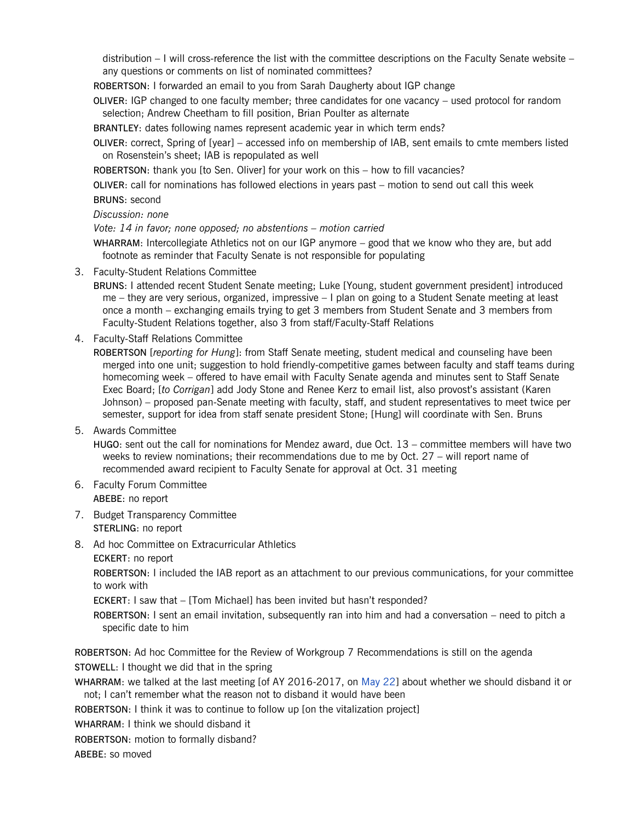distribution – I will cross-reference the list with the committee descriptions on the Faculty Senate website – any questions or comments on list of nominated committees?

ROBERTSON: I forwarded an email to you from Sarah Daugherty about IGP change

OLIVER: IGP changed to one faculty member; three candidates for one vacancy – used protocol for random selection; Andrew Cheetham to fill position, Brian Poulter as alternate

BRANTLEY: dates following names represent academic year in which term ends?

OLIVER: correct, Spring of [year] – accessed info on membership of IAB, sent emails to cmte members listed on Rosenstein's sheet; IAB is repopulated as well

ROBERTSON: thank you [to Sen. Oliver] for your work on this – how to fill vacancies?

OLIVER: call for nominations has followed elections in years past – motion to send out call this week

BRUNS: second

# *Discussion: none*

*Vote: 14 in favor; none opposed; no abstentions – motion carried* 

WHARRAM: Intercollegiate Athletics not on our IGP anymore – good that we know who they are, but add footnote as reminder that Faculty Senate is not responsible for populating

3. Faculty-Student Relations Committee

BRUNS: I attended recent Student Senate meeting; Luke [Young, student government president] introduced me – they are very serious, organized, impressive – I plan on going to a Student Senate meeting at least once a month – exchanging emails trying to get 3 members from Student Senate and 3 members from Faculty-Student Relations together, also 3 from staff/Faculty-Staff Relations

4. Faculty-Staff Relations Committee

ROBERTSON [*reporting for Hung*]: from Staff Senate meeting, student medical and counseling have been merged into one unit; suggestion to hold friendly-competitive games between faculty and staff teams during homecoming week – offered to have email with Faculty Senate agenda and minutes sent to Staff Senate Exec Board; [*to Corrigan*] add Jody Stone and Renee Kerz to email list, also provost's assistant (Karen Johnson) – proposed pan-Senate meeting with faculty, staff, and student representatives to meet twice per semester, support for idea from staff senate president Stone; [Hung] will coordinate with Sen. Bruns

5. Awards Committee

HUGO: sent out the call for nominations for Mendez award, due Oct. 13 – committee members will have two weeks to review nominations; their recommendations due to me by Oct. 27 – will report name of recommended award recipient to Faculty Senate for approval at Oct. 31 meeting

- 6. Faculty Forum Committee ABEBE: no report
- 7. Budget Transparency Committee STERLING: no report
- 8. Ad hoc Committee on Extracurricular Athletics
- ECKERT: no report

ROBERTSON: I included the IAB report as an attachment to our previous communications, for your committee to work with

ECKERT: I saw that – [Tom Michael] has been invited but hasn't responded?

ROBERTSON: I sent an email invitation, subsequently ran into him and had a conversation – need to pitch a specific date to him

ROBERTSON: Ad hoc Committee for the Review of Workgroup 7 Recommendations is still on the agenda STOWELL: I thought we did that in the spring

WHARRAM: we talked at the last meeting [of AY 2016-2017, on [May 22\]](http://thekeep.eiu.edu/cgi/viewcontent.cgi?article=2089&context=facsen_mins) about whether we should disband it or not; I can't remember what the reason not to disband it would have been

ROBERTSON: I think it was to continue to follow up [on the vitalization project]

WHARRAM: I think we should disband it

ROBERTSON: motion to formally disband?

ABEBE: so moved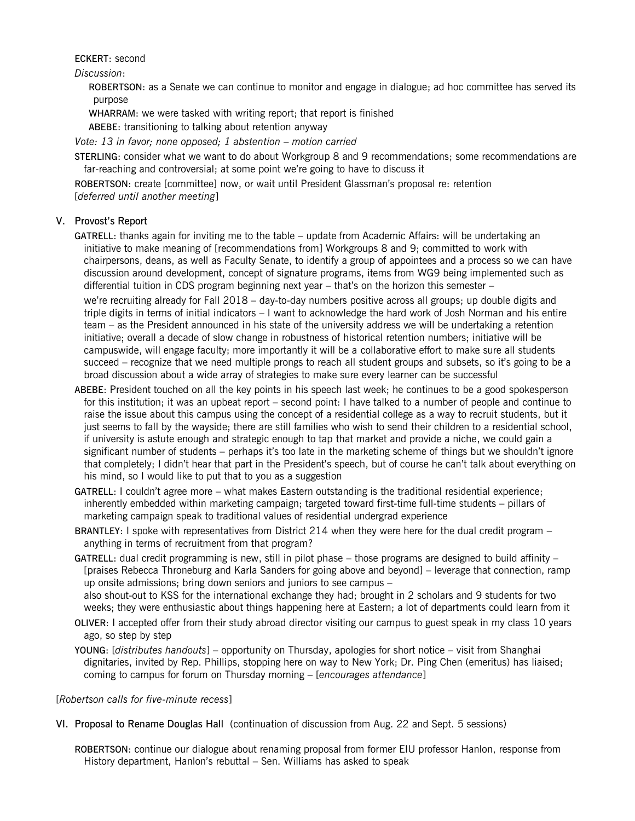#### ECKERT: second

*Discussion*:

ROBERTSON: as a Senate we can continue to monitor and engage in dialogue; ad hoc committee has served its purpose

WHARRAM: we were tasked with writing report; that report is finished

ABEBE: transitioning to talking about retention anyway

*Vote: 13 in favor; none opposed; 1 abstention – motion carried*

STERLING: consider what we want to do about Workgroup 8 and 9 recommendations; some recommendations are far-reaching and controversial; at some point we're going to have to discuss it

ROBERTSON: create [committee] now, or wait until President Glassman's proposal re: retention [*deferred until another meeting*]

# V. Provost's Report

GATRELL: thanks again for inviting me to the table – update from Academic Affairs: will be undertaking an initiative to make meaning of [recommendations from] Workgroups 8 and 9; committed to work with chairpersons, deans, as well as Faculty Senate, to identify a group of appointees and a process so we can have discussion around development, concept of signature programs, items from WG9 being implemented such as differential tuition in CDS program beginning next year – that's on the horizon this semester –

we're recruiting already for Fall 2018 – day-to-day numbers positive across all groups; up double digits and triple digits in terms of initial indicators – I want to acknowledge the hard work of Josh Norman and his entire team – as the President announced in his state of the university address we will be undertaking a retention initiative; overall a decade of slow change in robustness of historical retention numbers; initiative will be campuswide, will engage faculty; more importantly it will be a collaborative effort to make sure all students succeed – recognize that we need multiple prongs to reach all student groups and subsets, so it's going to be a broad discussion about a wide array of strategies to make sure every learner can be successful

ABEBE: President touched on all the key points in his speech last week; he continues to be a good spokesperson for this institution; it was an upbeat report – second point: I have talked to a number of people and continue to raise the issue about this campus using the concept of a residential college as a way to recruit students, but it just seems to fall by the wayside; there are still families who wish to send their children to a residential school, if university is astute enough and strategic enough to tap that market and provide a niche, we could gain a significant number of students – perhaps it's too late in the marketing scheme of things but we shouldn't ignore that completely; I didn't hear that part in the President's speech, but of course he can't talk about everything on his mind, so I would like to put that to you as a suggestion

GATRELL: I couldn't agree more – what makes Eastern outstanding is the traditional residential experience; inherently embedded within marketing campaign; targeted toward first-time full-time students – pillars of marketing campaign speak to traditional values of residential undergrad experience

- BRANTLEY: I spoke with representatives from District 214 when they were here for the dual credit program anything in terms of recruitment from that program?
- GATRELL: dual credit programming is new, still in pilot phase those programs are designed to build affinity [praises Rebecca Throneburg and Karla Sanders for going above and beyond] – leverage that connection, ramp up onsite admissions; bring down seniors and juniors to see campus – also shout-out to KSS for the international exchange they had; brought in 2 scholars and 9 students for two

weeks; they were enthusiastic about things happening here at Eastern; a lot of departments could learn from it

- OLIVER: I accepted offer from their study abroad director visiting our campus to guest speak in my class 10 years ago, so step by step
- YOUNG: [*distributes handouts*] opportunity on Thursday, apologies for short notice visit from Shanghai dignitaries, invited by Rep. Phillips, stopping here on way to New York; Dr. Ping Chen (emeritus) has liaised; coming to campus for forum on Thursday morning – [*encourages attendance*]

[*Robertson calls for five-minute recess*]

VI. Proposal to Rename Douglas Hall (continuation of discussion from Aug. 22 and Sept. 5 sessions)

ROBERTSON: continue our dialogue about renaming proposal from former EIU professor Hanlon, response from History department, Hanlon's rebuttal – Sen. Williams has asked to speak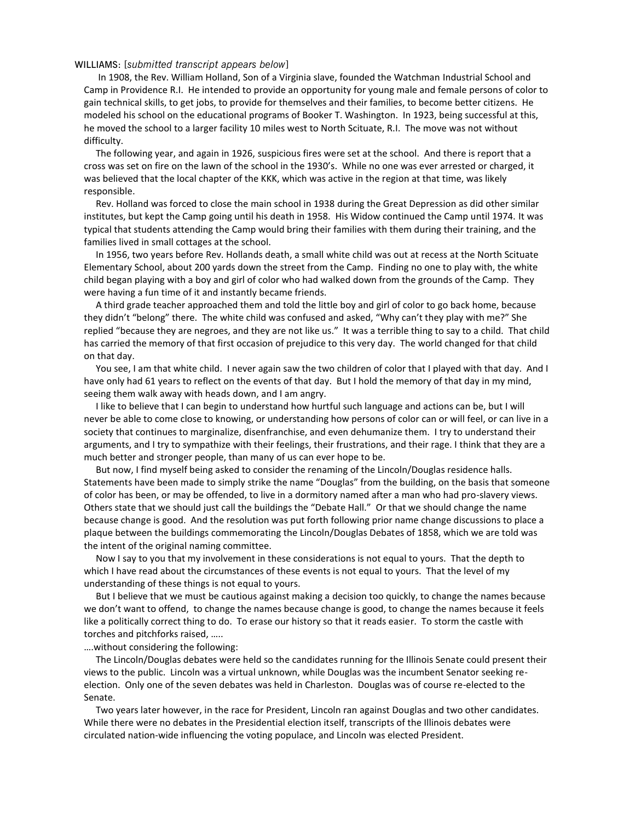#### WILLIAMS: [*submitted transcript appears below*]

 In 1908, the Rev. William Holland, Son of a Virginia slave, founded the Watchman Industrial School and Camp in Providence R.I. He intended to provide an opportunity for young male and female persons of color to gain technical skills, to get jobs, to provide for themselves and their families, to become better citizens. He modeled his school on the educational programs of Booker T. Washington. In 1923, being successful at this, he moved the school to a larger facility 10 miles west to North Scituate, R.I. The move was not without difficulty.

 The following year, and again in 1926, suspicious fires were set at the school. And there is report that a cross was set on fire on the lawn of the school in the 1930's. While no one was ever arrested or charged, it was believed that the local chapter of the KKK, which was active in the region at that time, was likely responsible.

 Rev. Holland was forced to close the main school in 1938 during the Great Depression as did other similar institutes, but kept the Camp going until his death in 1958. His Widow continued the Camp until 1974. It was typical that students attending the Camp would bring their families with them during their training, and the families lived in small cottages at the school.

 In 1956, two years before Rev. Hollands death, a small white child was out at recess at the North Scituate Elementary School, about 200 yards down the street from the Camp. Finding no one to play with, the white child began playing with a boy and girl of color who had walked down from the grounds of the Camp. They were having a fun time of it and instantly became friends.

 A third grade teacher approached them and told the little boy and girl of color to go back home, because they didn't "belong" there. The white child was confused and asked, "Why can't they play with me?" She replied "because they are negroes, and they are not like us." It was a terrible thing to say to a child. That child has carried the memory of that first occasion of prejudice to this very day. The world changed for that child on that day.

 You see, I am that white child. I never again saw the two children of color that I played with that day. And I have only had 61 years to reflect on the events of that day. But I hold the memory of that day in my mind, seeing them walk away with heads down, and I am angry.

 I like to believe that I can begin to understand how hurtful such language and actions can be, but I will never be able to come close to knowing, or understanding how persons of color can or will feel, or can live in a society that continues to marginalize, disenfranchise, and even dehumanize them. I try to understand their arguments, and I try to sympathize with their feelings, their frustrations, and their rage. I think that they are a much better and stronger people, than many of us can ever hope to be.

 But now, I find myself being asked to consider the renaming of the Lincoln/Douglas residence halls. Statements have been made to simply strike the name "Douglas" from the building, on the basis that someone of color has been, or may be offended, to live in a dormitory named after a man who had pro-slavery views. Others state that we should just call the buildings the "Debate Hall." Or that we should change the name because change is good. And the resolution was put forth following prior name change discussions to place a plaque between the buildings commemorating the Lincoln/Douglas Debates of 1858, which we are told was the intent of the original naming committee.

 Now I say to you that my involvement in these considerations is not equal to yours. That the depth to which I have read about the circumstances of these events is not equal to yours. That the level of my understanding of these things is not equal to yours.

 But I believe that we must be cautious against making a decision too quickly, to change the names because we don't want to offend, to change the names because change is good, to change the names because it feels like a politically correct thing to do. To erase our history so that it reads easier. To storm the castle with torches and pitchforks raised, …..

….without considering the following:

 The Lincoln/Douglas debates were held so the candidates running for the Illinois Senate could present their views to the public. Lincoln was a virtual unknown, while Douglas was the incumbent Senator seeking reelection. Only one of the seven debates was held in Charleston. Douglas was of course re-elected to the Senate.

 Two years later however, in the race for President, Lincoln ran against Douglas and two other candidates. While there were no debates in the Presidential election itself, transcripts of the Illinois debates were circulated nation-wide influencing the voting populace, and Lincoln was elected President.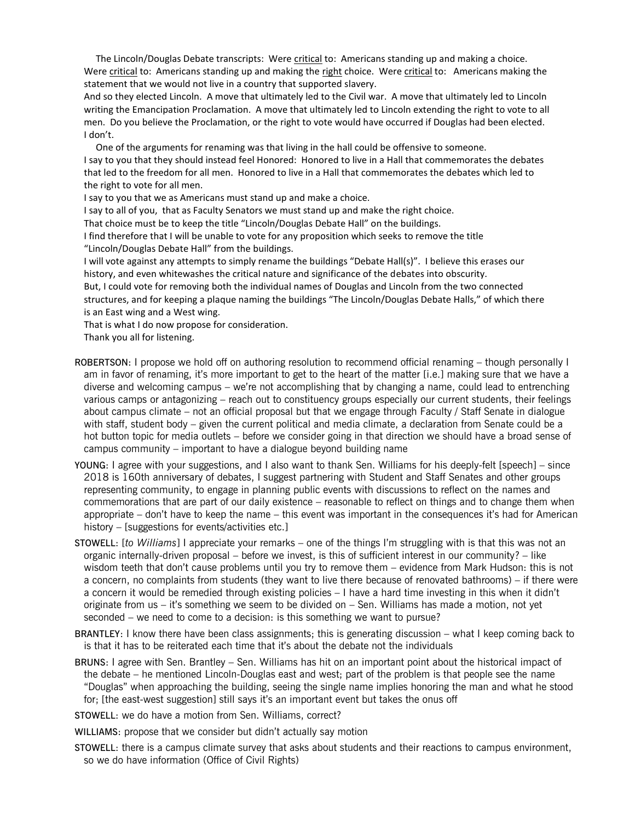The Lincoln/Douglas Debate transcripts: Were critical to: Americans standing up and making a choice. Were critical to: Americans standing up and making the right choice. Were critical to: Americans making the statement that we would not live in a country that supported slavery.

And so they elected Lincoln. A move that ultimately led to the Civil war. A move that ultimately led to Lincoln writing the Emancipation Proclamation. A move that ultimately led to Lincoln extending the right to vote to all men. Do you believe the Proclamation, or the right to vote would have occurred if Douglas had been elected. I don't.

One of the arguments for renaming was that living in the hall could be offensive to someone.

I say to you that they should instead feel Honored: Honored to live in a Hall that commemorates the debates that led to the freedom for all men. Honored to live in a Hall that commemorates the debates which led to the right to vote for all men.

I say to you that we as Americans must stand up and make a choice.

I say to all of you, that as Faculty Senators we must stand up and make the right choice.

That choice must be to keep the title "Lincoln/Douglas Debate Hall" on the buildings.

I find therefore that I will be unable to vote for any proposition which seeks to remove the title "Lincoln/Douglas Debate Hall" from the buildings.

I will vote against any attempts to simply rename the buildings "Debate Hall(s)". I believe this erases our history, and even whitewashes the critical nature and significance of the debates into obscurity.

But, I could vote for removing both the individual names of Douglas and Lincoln from the two connected structures, and for keeping a plaque naming the buildings "The Lincoln/Douglas Debate Halls," of which there is an East wing and a West wing.

That is what I do now propose for consideration.

Thank you all for listening.

- ROBERTSON: I propose we hold off on authoring resolution to recommend official renaming though personally I am in favor of renaming, it's more important to get to the heart of the matter [i.e.] making sure that we have a diverse and welcoming campus – we're not accomplishing that by changing a name, could lead to entrenching various camps or antagonizing – reach out to constituency groups especially our current students, their feelings about campus climate – not an official proposal but that we engage through Faculty / Staff Senate in dialogue with staff, student body – given the current political and media climate, a declaration from Senate could be a hot button topic for media outlets – before we consider going in that direction we should have a broad sense of campus community – important to have a dialogue beyond building name
- YOUNG: I agree with your suggestions, and I also want to thank Sen. Williams for his deeply-felt [speech] since 2018 is 160th anniversary of debates, I suggest partnering with Student and Staff Senates and other groups representing community, to engage in planning public events with discussions to reflect on the names and commemorations that are part of our daily existence – reasonable to reflect on things and to change them when appropriate – don't have to keep the name – this event was important in the consequences it's had for American history – [suggestions for events/activities etc.]
- STOWELL: [*to Williams*] I appreciate your remarks one of the things I'm struggling with is that this was not an organic internally-driven proposal – before we invest, is this of sufficient interest in our community? – like wisdom teeth that don't cause problems until you try to remove them – evidence from Mark Hudson: this is not a concern, no complaints from students (they want to live there because of renovated bathrooms) – if there were a concern it would be remedied through existing policies – I have a hard time investing in this when it didn't originate from us – it's something we seem to be divided on – Sen. Williams has made a motion, not yet seconded – we need to come to a decision: is this something we want to pursue?
- BRANTLEY: I know there have been class assignments; this is generating discussion what I keep coming back to is that it has to be reiterated each time that it's about the debate not the individuals
- BRUNS: I agree with Sen. Brantley Sen. Williams has hit on an important point about the historical impact of the debate – he mentioned Lincoln-Douglas east and west; part of the problem is that people see the name "Douglas" when approaching the building, seeing the single name implies honoring the man and what he stood for; [the east-west suggestion] still says it's an important event but takes the onus off

STOWELL: we do have a motion from Sen. Williams, correct?

WILLIAMS: propose that we consider but didn't actually say motion

STOWELL: there is a campus climate survey that asks about students and their reactions to campus environment, so we do have information (Office of Civil Rights)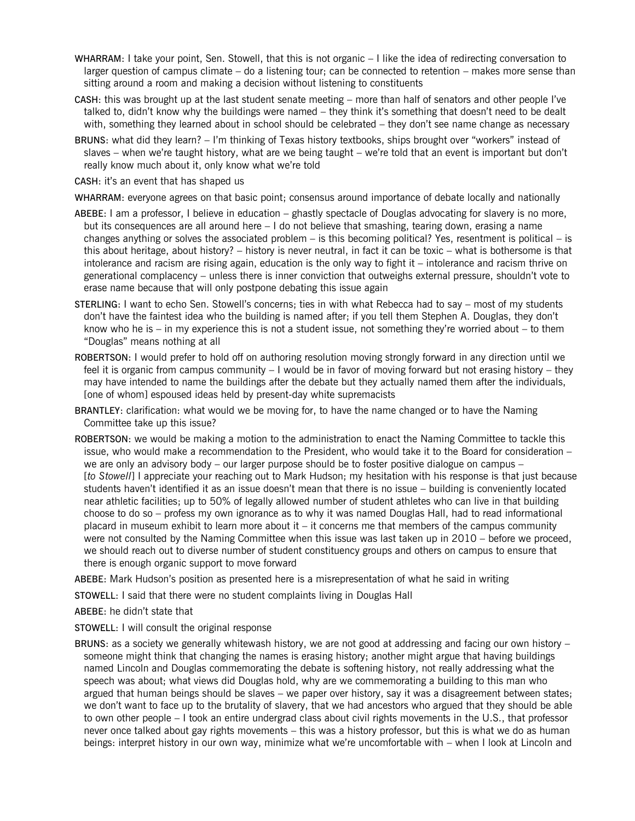- WHARRAM: I take your point, Sen. Stowell, that this is not organic I like the idea of redirecting conversation to larger question of campus climate – do a listening tour; can be connected to retention – makes more sense than sitting around a room and making a decision without listening to constituents
- CASH: this was brought up at the last student senate meeting more than half of senators and other people I've talked to, didn't know why the buildings were named – they think it's something that doesn't need to be dealt with, something they learned about in school should be celebrated – they don't see name change as necessary
- BRUNS: what did they learn? I'm thinking of Texas history textbooks, ships brought over "workers" instead of slaves – when we're taught history, what are we being taught – we're told that an event is important but don't really know much about it, only know what we're told

CASH: it's an event that has shaped us

WHARRAM: everyone agrees on that basic point; consensus around importance of debate locally and nationally

- ABEBE: I am a professor, I believe in education ghastly spectacle of Douglas advocating for slavery is no more, but its consequences are all around here – I do not believe that smashing, tearing down, erasing a name changes anything or solves the associated problem – is this becoming political? Yes, resentment is political – is this about heritage, about history? – history is never neutral, in fact it can be toxic – what is bothersome is that intolerance and racism are rising again, education is the only way to fight it – intolerance and racism thrive on generational complacency – unless there is inner conviction that outweighs external pressure, shouldn't vote to erase name because that will only postpone debating this issue again
- STERLING: I want to echo Sen. Stowell's concerns; ties in with what Rebecca had to say most of my students don't have the faintest idea who the building is named after; if you tell them Stephen A. Douglas, they don't know who he is – in my experience this is not a student issue, not something they're worried about – to them "Douglas" means nothing at all
- ROBERTSON: I would prefer to hold off on authoring resolution moving strongly forward in any direction until we feel it is organic from campus community – I would be in favor of moving forward but not erasing history – they may have intended to name the buildings after the debate but they actually named them after the individuals, [one of whom] espoused ideas held by present-day white supremacists
- BRANTLEY: clarification: what would we be moving for, to have the name changed or to have the Naming Committee take up this issue?
- ROBERTSON: we would be making a motion to the administration to enact the Naming Committee to tackle this issue, who would make a recommendation to the President, who would take it to the Board for consideration – we are only an advisory body – our larger purpose should be to foster positive dialogue on campus – [*to Stowell*] I appreciate your reaching out to Mark Hudson; my hesitation with his response is that just because students haven't identified it as an issue doesn't mean that there is no issue – building is conveniently located near athletic facilities; up to 50% of legally allowed number of student athletes who can live in that building choose to do so – profess my own ignorance as to why it was named Douglas Hall, had to read informational placard in museum exhibit to learn more about it – it concerns me that members of the campus community were not consulted by the Naming Committee when this issue was last taken up in 2010 – before we proceed, we should reach out to diverse number of student constituency groups and others on campus to ensure that there is enough organic support to move forward
- ABEBE: Mark Hudson's position as presented here is a misrepresentation of what he said in writing

STOWELL: I said that there were no student complaints living in Douglas Hall

- ABEBE: he didn't state that
- STOWELL: I will consult the original response
- BRUNS: as a society we generally whitewash history, we are not good at addressing and facing our own history someone might think that changing the names is erasing history; another might argue that having buildings named Lincoln and Douglas commemorating the debate is softening history, not really addressing what the speech was about; what views did Douglas hold, why are we commemorating a building to this man who argued that human beings should be slaves – we paper over history, say it was a disagreement between states; we don't want to face up to the brutality of slavery, that we had ancestors who argued that they should be able to own other people – I took an entire undergrad class about civil rights movements in the U.S., that professor never once talked about gay rights movements – this was a history professor, but this is what we do as human beings: interpret history in our own way, minimize what we're uncomfortable with – when I look at Lincoln and